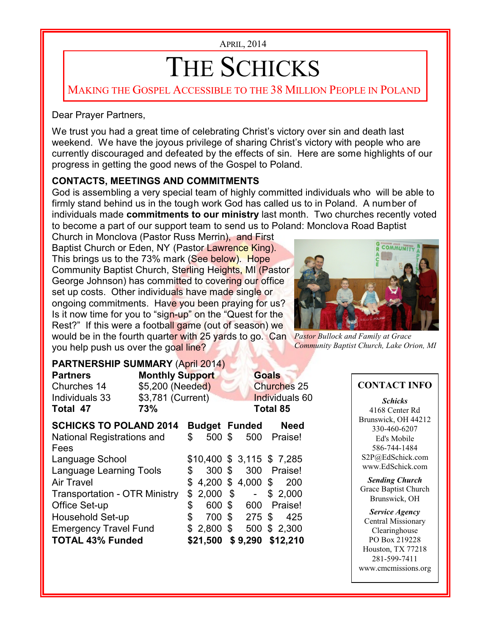APRIL, 2014

# THE SCHICKS

MAKING THE GOSPEL ACCESSIBLE TO THE 38 MILLION PEOPLE IN POLAND

#### Dear Prayer Partners,

We trust you had a great time of celebrating Christ's victory over sin and death last weekend. We have the joyous privilege of sharing Christ's victory with people who are currently discouraged and defeated by the effects of sin. Here are some highlights of our progress in getting the good news of the Gospel to Poland.

### **CONTACTS, MEETINGS AND COMMITMENTS**

God is assembling a very special team of highly committed individuals who will be able to firmly stand behind us in the tough work God has called us to in Poland. A number of individuals made **commitments to our ministry** last month. Two churches recently voted to become a part of our support team to send us to Poland: Monclova Road Baptist

would be in the fourth quarter with 25 yards to go. Can Pastor Bullock and Family at Grace Church in Monclova (Pastor Russ Merrin), and First Baptist Church or Eden, NY (Pastor Lawrence King). This brings us to the 73% mark (See below). Hope Community Baptist Church, Sterling Heights, MI (Pastor George Johnson) has committed to covering our office set up costs. Other individuals have made single or ongoing commitments. Have you been praying for us? Is it now time for you to "sign-up" on the "Quest for the Rest?" If this were a football game (out of season) we you help push us over the goal line?



*Community Baptist Church, Lake Orion, MI*

### **PARTNERSHIP SUMMARY** (April 2014)

| <b>Partners</b><br>Churches 14<br>Individuals 33<br>Total 47 | <b>Monthly Support</b><br>\$5,200 (Needed)<br>\$3,781 (Current)<br>73% |    |                      | <b>Goals</b><br><b>Churches 25</b><br>Individuals 60<br><b>Total 85</b> |                             |              |     |
|--------------------------------------------------------------|------------------------------------------------------------------------|----|----------------------|-------------------------------------------------------------------------|-----------------------------|--------------|-----|
| <b>SCHICKS TO POLAND 2014</b>                                |                                                                        |    | <b>Budget Funded</b> |                                                                         |                             | <b>Need</b>  |     |
| National Registrations and<br>Fees                           |                                                                        | \$ | 500 \$               |                                                                         | 500                         | Praise!      |     |
| Language School                                              |                                                                        |    |                      |                                                                         | $$10,400$ \$ 3,115 \$ 7,285 |              |     |
| <b>Language Learning Tools</b>                               |                                                                        | \$ | 300 \$               |                                                                         |                             | 300 Praise!  |     |
| Air Travel                                                   |                                                                        |    |                      |                                                                         | $$4,200$ \$4,000 \$         |              | 200 |
| <b>Transportation - OTR Ministry</b>                         |                                                                        | \$ | 2,000                | \$                                                                      | $\omega_{\rm{eff}}$         | \$2,000      |     |
| Office Set-up                                                |                                                                        | \$ | 600 \$               |                                                                         | 600                         | Praise!      |     |
| Household Set-up                                             |                                                                        | \$ | 700                  |                                                                         | $$275$ \$                   |              | 425 |
| <b>Emergency Travel Fund</b>                                 |                                                                        |    | $2,800$ \$           |                                                                         |                             | 500 \$ 2,300 |     |
| <b>TOTAL 43% Funded</b>                                      |                                                                        |    |                      |                                                                         | \$21,500 \$9,290 \$12,210   |              |     |

### **CONTACT INFO**

*Schicks* 4168 Center Rd Brunswick, OH 44212 330-460-6207 Ed's Mobile 586-744-1484 S2P@EdSchick.com www.EdSchick.com

*Sending Church* Grace Baptist Church Brunswick, OH

*Service Agency* Central Missionary Clearinghouse PO Box 219228 Houston, TX 77218 281-599-7411 www.cmcmissions.org